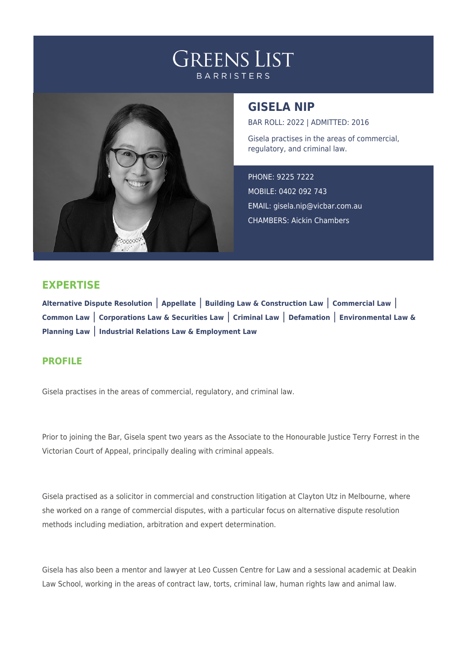



## **GISELA NIP**

BAR ROLL: 2022 | ADMITTED: 2016 Gisela practises in the areas of commercial, regulatory, and criminal law.

PHONE: 9225 7222 MOBILE: 0402 092 743 EMAIL: [gisela.nip@vicbar.com.au](mailto:gisela.nip@vicbar.com.au) CHAMBERS: Aickin Chambers

## **EXPERTISE**

**Alternative Dispute Resolution** | **Appellate** | **Building Law & Construction Law** | **Commercial Law** | **Common Law** | **Corporations Law & Securities Law** | **Criminal Law** | **Defamation** | **Environmental Law & Planning Law** | **Industrial Relations Law & Employment Law**

## **PROFILE**

Gisela practises in the areas of commercial, regulatory, and criminal law.

Prior to joining the Bar, Gisela spent two years as the Associate to the Honourable Justice Terry Forrest in the Victorian Court of Appeal, principally dealing with criminal appeals.

Gisela practised as a solicitor in commercial and construction litigation at Clayton Utz in Melbourne, where she worked on a range of commercial disputes, with a particular focus on alternative dispute resolution methods including mediation, arbitration and expert determination.

Gisela has also been a mentor and lawyer at Leo Cussen Centre for Law and a sessional academic at Deakin Law School, working in the areas of contract law, torts, criminal law, human rights law and animal law.